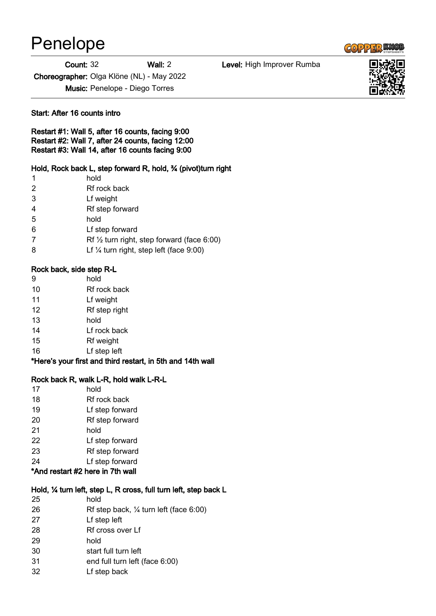# Penelope

#### Count: 32 Wall: 2 Level: High Improver Rumba

Choreographer: Olga Klöne (NL) - May 2022

Music: Penelope - Diego Torres

#### Start: After 16 counts intro

Restart #1: Wall 5, after 16 counts, facing 9:00 Restart #2: Wall 7, after 24 counts, facing 12:00 Restart #3: Wall 14, after 16 counts facing 9:00

## Hold, Rock back L, step forward R, hold, 34 (pivot)turn right

- hold
- Rf rock back
- Lf weight
- Rf step forward
- hold
- Lf step forward
- Rf ½ turn right, step forward (face 6:00)
- Lf ¼ turn right, step left (face 9:00)

#### Rock back, side step R-L

- hold
- Rf rock back
- Lf weight
- Rf step right
- hold
- Lf rock back
- Rf weight
- Lf step left

\*Here's your first and third restart, in 5th and 14th wall

## Rock back R, walk L-R, hold walk L-R-L

 hold Rf rock back Lf step forward Rf step forward hold Lf step forward Rf step forward Lf step forward

# \*And restart #2 here in 7th wall

#### Hold, ¼ turn left, step L, R cross, full turn left, step back L

| 25 | hold                                              |
|----|---------------------------------------------------|
| 26 | Rf step back, $\frac{1}{4}$ turn left (face 6:00) |
| 27 | Lf step left                                      |
| 28 | Rf cross over Lf                                  |
| 29 | hold                                              |
| 30 | start full turn left                              |
| 31 | end full turn left (face 6:00)                    |
| 32 | Lf step back                                      |